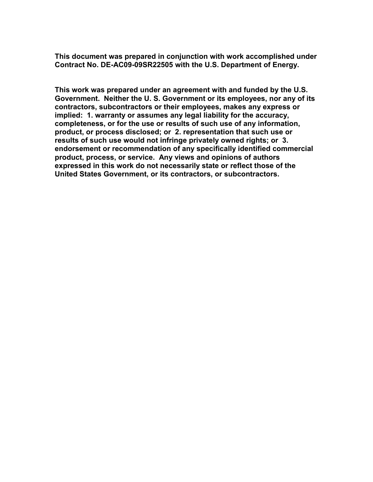**This document was prepared in conjunction with work accomplished under Contract No. DE-AC09-09SR22505 with the U.S. Department of Energy.**

**This work was prepared under an agreement with and funded by the U.S. Government. Neither the U. S. Government or its employees, nor any of its contractors, subcontractors or their employees, makes any express or implied: 1. warranty or assumes any legal liability for the accuracy, completeness, or for the use or results of such use of any information, product, or process disclosed; or 2. representation that such use or results of such use would not infringe privately owned rights; or 3. endorsement or recommendation of any specifically identified commercial product, process, or service. Any views and opinions of authors expressed in this work do not necessarily state or reflect those of the United States Government, or its contractors, or subcontractors.**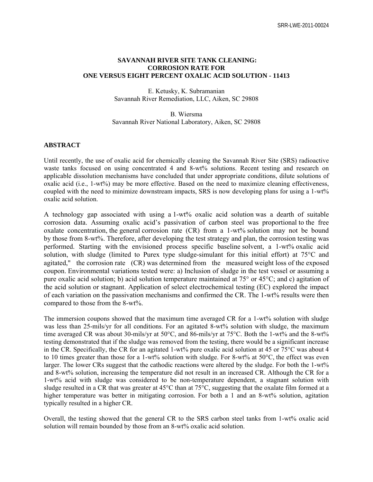# **SAVANNAH RIVER SITE TANK CLEANING: CORROSION RATE FOR ONE VERSUS EIGHT PERCENT OXALIC ACID SOLUTION - 11413**

E. Ketusky, K. Subramanian Savannah River Remediation, LLC, Aiken, SC 29808

B. Wiersma Savannah River National Laboratory, Aiken, SC 29808

#### **ABSTRACT**

Until recently, the use of oxalic acid for chemically cleaning the Savannah River Site (SRS) radioactive waste tanks focused on using concentrated 4 and 8-wt% solutions. Recent testing and research on applicable dissolution mechanisms have concluded that under appropriate conditions, dilute solutions of oxalic acid (i.e.,  $1-wt\%$ ) may be more effective. Based on the need to maximize cleaning effectiveness, coupled with the need to minimize downstream impacts, SRS is now developing plans for using a 1-wt% oxalic acid solution.

A technology gap associated with using a 1-wt% oxalic acid solution was a dearth of suitable corrosion data. Assuming oxalic acid's passivation of carbon steel was proportional to the free oxalate concentration, the general corrosion rate (CR) from a 1-wt% solution may not be bound by those from 8-wt%. Therefore, after developing the test strategy and plan, the corrosion testing was performed. Starting with the envisioned process specific baseline solvent, a 1-wt% oxalic acid solution, with sludge (limited to Purex type sludge-simulant for this initial effort) at 75°C and agitated," the corrosion rate (CR) was determined from the measured weight loss of the exposed coupon. Environmental variations tested were: a) Inclusion of sludge in the test vessel or assuming a pure oxalic acid solution; b) acid solution temperature maintained at 75° or 45°C; and c) agitation of the acid solution or stagnant. Application of select electrochemical testing (EC) explored the impact of each variation on the passivation mechanisms and confirmed the CR. The 1-wt% results were then compared to those from the 8-wt%.

The immersion coupons showed that the maximum time averaged CR for a 1-wt% solution with sludge was less than 25-mils/yr for all conditions. For an agitated 8-wt% solution with sludge, the maximum time averaged CR was about 30-mils/yr at 50°C, and 86-mils/yr at 75°C. Both the 1-wt% and the 8-wt% testing demonstrated that if the sludge was removed from the testing, there would be a significant increase in the CR. Specifically, the CR for an agitated 1-wt% pure oxalic acid solution at 45 or 75°C was about 4 to 10 times greater than those for a 1-wt% solution with sludge. For 8-wt% at 50°C, the effect was even larger. The lower CRs suggest that the cathodic reactions were altered by the sludge. For both the 1-wt% and 8-wt% solution, increasing the temperature did not result in an increased CR. Although the CR for a 1-wt% acid with sludge was considered to be non-temperature dependent, a stagnant solution with sludge resulted in a CR that was greater at 45°C than at 75°C, suggesting that the oxalate film formed at a higher temperature was better in mitigating corrosion. For both a 1 and an 8-wt% solution, agitation typically resulted in a higher CR.

Overall, the testing showed that the general CR to the SRS carbon steel tanks from 1-wt% oxalic acid solution will remain bounded by those from an 8-wt% oxalic acid solution.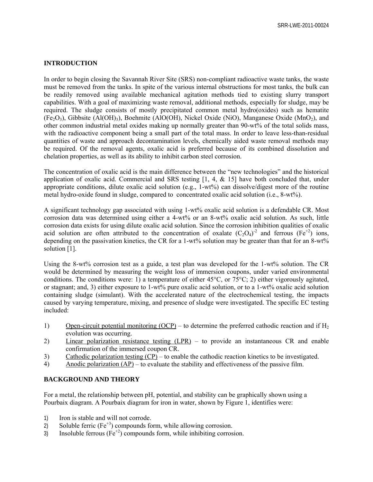## **INTRODUCTION**

In order to begin closing the Savannah River Site (SRS) non-compliant radioactive waste tanks, the waste must be removed from the tanks. In spite of the various internal obstructions for most tanks, the bulk can be readily removed using available mechanical agitation methods tied to existing slurry transport capabilities. With a goal of maximizing waste removal, additional methods, especially for sludge, may be required. The sludge consists of mostly precipitated common metal hydro(oxides) such as hematite  $(Fe<sub>2</sub>O<sub>3</sub>)$ , Gibbsite (Al(OH)<sub>3</sub>), Boehmite (AlO(OH), Nickel Oxide (NiO), Manganese Oxide (MnO<sub>2</sub>), and other common industrial metal oxides making up normally greater than 90-wt% of the total solids mass, with the radioactive component being a small part of the total mass. In order to leave less-than-residual quantities of waste and approach decontamination levels, chemically aided waste removal methods may be required. Of the removal agents, oxalic acid is preferred because of its combined dissolution and chelation properties, as well as its ability to inhibit carbon steel corrosion.

The concentration of oxalic acid is the main difference between the "new technologies" and the historical application of oxalic acid. Commercial and SRS testing  $[1, 4, \& 15]$  have both concluded that, under appropriate conditions, dilute oxalic acid solution (e.g., 1-wt%) can dissolve/digest more of the routine metal hydro-oxide found in sludge, compared to concentrated oxalic acid solution (i.e., 8-wt%).

A significant technology gap associated with using 1-wt% oxalic acid solution is a defendable CR. Most corrosion data was determined using either a 4-wt% or an 8-wt% oxalic acid solution. As such, little corrosion data exists for using dilute oxalic acid solution. Since the corrosion inhibition qualities of oxalic acid solution are often attributed to the concentration of oxalate  $(C_2O_4)^2$  and ferrous (Fe<sup>+2</sup>) ions, depending on the passivation kinetics, the CR for a 1-wt% solution may be greater than that for an 8-wt% solution [1].

Using the 8-wt% corrosion test as a guide, a test plan was developed for the 1-wt% solution. The CR would be determined by measuring the weight loss of immersion coupons, under varied environmental conditions. The conditions were: 1) a temperature of either  $45^{\circ}$ C, or  $75^{\circ}$ C; 2) either vigorously agitated, or stagnant; and, 3) either exposure to 1-wt% pure oxalic acid solution, or to a 1-wt% oxalic acid solution containing sludge (simulant). With the accelerated nature of the electrochemical testing, the impacts caused by varying temperature, mixing, and presence of sludge were investigated. The specific EC testing included:

- 1) Open-circuit potential monitoring (OCP) to determine the preferred cathodic reaction and if  $H_2$ evolution was occurring.
- 2) Linear polarization resistance testing (LPR) to provide an instantaneous CR and enable confirmation of the immersed coupon CR.
- 3) Cathodic polarization testing (CP) to enable the cathodic reaction kinetics to be investigated.
- 4) Anodic polarization (AP) to evaluate the stability and effectiveness of the passive film.

### **BACKGROUND AND THEORY**

For a metal, the relationship between pH, potential, and stability can be graphically shown using a Pourbaix diagram. A Pourbaix diagram for iron in water, shown by Figure 1, identifies were:

- 1) Iron is stable and will not corrode.
- 2) Soluble ferric  $(Fe^{+3})$  compounds form, while allowing corrosion.
- 3) Insoluble ferrous  $(Fe^{+2})$  compounds form, while inhibiting corrosion.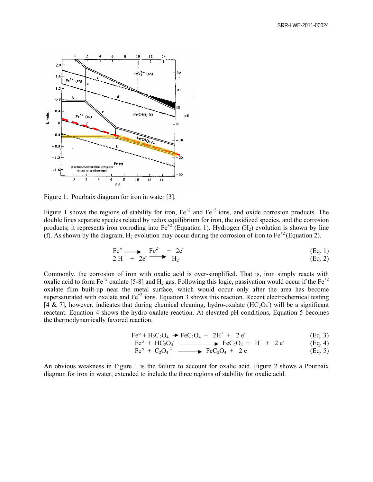

Figure 1. Pourbaix diagram for iron in water [3].

Figure 1 shows the regions of stability for iron,  $Fe^{+2}$  and  $Fe^{+3}$  ions, and oxide corrosion products. The double lines separate species related by redox equilibrium for iron, the oxidized species, and the corrosion products; it represents iron corroding into  $Fe^{+2}$  (Equation 1). Hydrogen (H<sub>2</sub>) evolution is shown by line (f). As shown by the diagram,  $H_2$  evolution may occur during the corrosion of iron to Fe<sup>+2</sup> (Equation 2).

$$
\begin{array}{ccc}\n\text{Fe}^{\circ} & \longrightarrow & \text{Fe}^{2+} & + & 2\text{e} \\
\text{2 H}^{+} & + & 2\text{e} & & \text{H}_{2}\n\end{array}\n\tag{Eq. 1}
$$

Commonly, the corrosion of iron with oxalic acid is over-simplified. That is, iron simply reacts with oxalic acid to form Fe<sup>+2</sup> oxalate [5-8] and H<sub>2</sub> gas. Following this logic, passivation would occur if the Fe<sup>+2</sup> oxalate film built-up near the metal surface, which would occur only after the area has become supersaturated with oxalate and  $Fe^{+2}$  ions. Equation 3 shows this reaction. Recent electrochemical testing [4 & 7], however, indicates that during chemical cleaning, hydro-oxalate (HC<sub>2</sub>O<sub>4</sub>) will be a significant reactant. Equation 4 shows the hydro-oxalate reaction. At elevated pH conditions, Equation 5 becomes the thermodynamically favored reaction.

$$
Fe^{\circ} + H_2C_2O_4 \rightarrow FeC_2O_4 + 2H^+ + 2e^-
$$
 (Eq. 3)

$$
Feo + HC2O4 \longrightarrow FeC2O4 + H+ + 2e
$$
 (Eq. 4)

$$
Fe^{\circ} + C_2O_4^{-2} \longrightarrow FeC_2O_4 + 2e^{C}
$$
 (Eq. 5)

An obvious weakness in Figure 1 is the failure to account for oxalic acid. Figure 2 shows a Pourbaix diagram for iron in water, extended to include the three regions of stability for oxalic acid.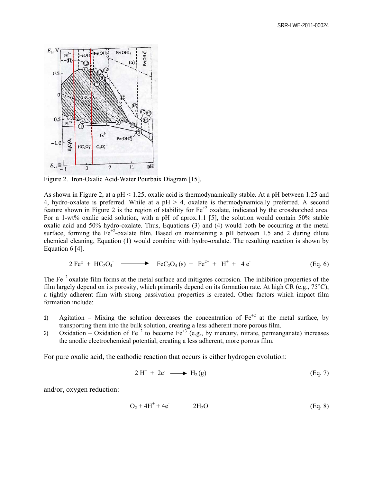

Figure 2. Iron-Oxalic Acid-Water Pourbaix Diagram [15].

As shown in Figure 2, at a pH < 1.25, oxalic acid is thermodynamically stable. At a pH between 1.25 and 4, hydro-oxalate is preferred. While at a pH  $>$  4, oxalate is thermodynamically preferred. A second feature shown in Figure 2 is the region of stability for  $Fe^{+2}$  oxalate, indicated by the crosshatched area. For a 1-wt% oxalic acid solution, with a pH of aprox.1.1 [5], the solution would contain 50% stable oxalic acid and 50% hydro-oxalate. Thus, Equations (3) and (4) would both be occurring at the metal surface, forming the  $Fe^{+2}$ -oxalate film. Based on maintaining a pH between 1.5 and 2 during dilute chemical cleaning, Equation (1) would combine with hydro-oxalate. The resulting reaction is shown by Equation 6 [4].

$$
2 \text{ Fe}^{\circ} + \text{HC}_2\text{O}_4 \longrightarrow \text{ FeC}_2\text{O}_4 \text{ (s)} + \text{ Fe}^{2+} + \text{H}^+ + 4 \text{ e} \tag{Eq. 6}
$$

The  $Fe<sup>+2</sup>$  oxalate film forms at the metal surface and mitigates corrosion. The inhibition properties of the film largely depend on its porosity, which primarily depend on its formation rate. At high CR (e.g.,  $75^{\circ}$ C), a tightly adherent film with strong passivation properties is created. Other factors which impact film formation include:

- 1) Agitation Mixing the solution decreases the concentration of  $Fe^{+2}$  at the metal surface, by transporting them into the bulk solution, creating a less adherent more porous film.
- 2) Oxidation Oxidation of Fe<sup>+2</sup> to become Fe<sup>+3</sup> (e.g., by mercury, nitrate, permanganate) increases the anodic electrochemical potential, creating a less adherent, more porous film.

For pure oxalic acid, the cathodic reaction that occurs is either hydrogen evolution:

$$
2 H+ + 2e- \longrightarrow H2(g)
$$
 (Eq. 7)

and/or, oxygen reduction:

$$
O_2 + 4H^+ + 4e^- \t\t 2H_2O \t\t (Eq. 8)
$$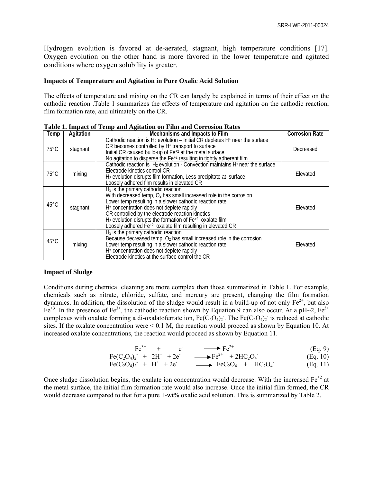Hydrogen evolution is favored at de-aerated, stagnant, high temperature conditions [17]. Oxygen evolution on the other hand is more favored in the lower temperature and agitated conditions where oxygen solubility is greater.

#### **Impacts of Temperature and Agitation in Pure Oxalic Acid Solution**

The effects of temperature and mixing on the CR can largely be explained in terms of their effect on the cathodic reaction .Table 1 summarizes the effects of temperature and agitation on the cathodic reaction, film formation rate, and ultimately on the CR.

| Temp           | <b>Agitation</b><br><b>Mechanisms and Impacts to Film</b>                                                                                                                                                                                                                                                             |                                                                                                                                                                                                                                                                                                                                                                                                                                               | <b>Corrosion Rate</b> |
|----------------|-----------------------------------------------------------------------------------------------------------------------------------------------------------------------------------------------------------------------------------------------------------------------------------------------------------------------|-----------------------------------------------------------------------------------------------------------------------------------------------------------------------------------------------------------------------------------------------------------------------------------------------------------------------------------------------------------------------------------------------------------------------------------------------|-----------------------|
| $75^{\circ}$ C | stagnant                                                                                                                                                                                                                                                                                                              | Cathodic reaction is $H_2$ evolution – Initial CR depletes $H^*$ near the surface<br>CR becomes controlled by H <sup>+</sup> transport to surface<br>Initial CR caused build-up of Fe <sup>+2</sup> at the metal surface<br>No agitation to disperse the $Fe^{+2}$ resulting in tightly adherent film                                                                                                                                         | Decreased             |
| $75^{\circ}$ C | Cathodic reaction is $H_2$ evolution - Convection maintains $H+$ near the surface<br>Electrode kinetics control CR<br>mixing<br>H <sub>2</sub> evolution disrupts film formation, Less precipitate at surface<br>Loosely adhered film results in elevated CR                                                          |                                                                                                                                                                                                                                                                                                                                                                                                                                               | Elevated              |
| 45°C           | stagnant                                                                                                                                                                                                                                                                                                              | $H_2$ is the primary cathodic reaction<br>With decreased temp, $O_2$ has small increased role in the corrosion<br>Lower temp resulting in a slower cathodic reaction rate<br>H <sup>+</sup> concentration does not deplete rapidly<br>CR controlled by the electrode reaction kinetics<br>H <sub>2</sub> evolution disrupts the formation of Fe <sup>+2</sup> oxalate film<br>Loosely adhered $Fe^{+2}$ oxalate film resulting in elevated CR | Elevated              |
| $45^{\circ}$ C | H <sub>2</sub> is the primary cathodic reaction<br>Because decreased temp, O <sub>2</sub> has small increased role in the corrosion<br>Lower temp resulting in a slower cathodic reaction rate<br>mixing<br>H <sup>+</sup> concentration does not deplete rapidly<br>Electrode kinetics at the surface control the CR |                                                                                                                                                                                                                                                                                                                                                                                                                                               | Elevated              |

**Table 1. Impact of Temp and Agitation on Film and Corrosion Rates** 

#### **Impact of Sludge**

Conditions during chemical cleaning are more complex than those summarized in Table 1. For example, chemicals such as nitrate, chloride, sulfate, and mercury are present, changing the film formation dynamics. In addition, the dissolution of the sludge would result in a build-up of not only  $Fe^{2+}$ , but also  $Fe^{+3}$ . In the presence of Fe<sup>3+</sup>, the cathodic reaction shown by Equation 9 can also occur. At a pH~2, Fe<sup>3+</sup> complexes with oxalate forming a di-oxalatoferrate ion,  $Fe(C_2O_4)_2$ . The  $Fe(C_2O_4)_2$  is reduced at cathodic sites. If the oxalate concentration were  $\le 0.1$  M, the reaction would proceed as shown by Equation 10. At increased oxalate concentrations, the reaction would proceed as shown by Equation 11.

$$
Fe^{3+} + e^{-} + Fe^{2+} \qquad (Eq. 9)
$$

$$
Fe(C_2O_4)_2 + 2H^+ + 2e^- \longrightarrow Fe^{2+} + 2HC_2O_4 \qquad (Eq. 10)
$$

$$
Fe(C_2O_4)_2 + H^+ + 2e \longrightarrow FeC_2O_4 + HC_2O_4 \qquad (Eq. 11)
$$

Once sludge dissolution begins, the oxalate ion concentration would decrease. With the increased  $Fe^{+2}$  at the metal surface, the initial film formation rate would also increase. Once the initial film formed, the CR would decrease compared to that for a pure 1-wt% oxalic acid solution. This is summarized by Table 2.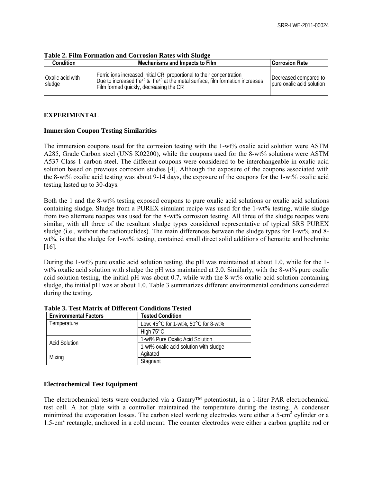| Tuoit 21 I mii 1 01 muutti unu Corrosion Ruits With Diuuge |                                                                                                                                                                                                   |                                                    |  |  |  |
|------------------------------------------------------------|---------------------------------------------------------------------------------------------------------------------------------------------------------------------------------------------------|----------------------------------------------------|--|--|--|
| <b>Condition</b>                                           | <b>Mechanisms and Impacts to Film</b>                                                                                                                                                             | <b>Corrosion Rate</b>                              |  |  |  |
| Oxalic acid with<br>sludge                                 | Ferric ions increased initial CR proportional to their concentration<br>Due to increased $Fe+2$ & $Fe+3$ at the metal surface, film formation increases<br>Film formed quickly, decreasing the CR | Decreased compared to<br>pure oxalic acid solution |  |  |  |

**Table 2. Film Formation and Corrosion Rates with Sludge** 

# **EXPERIMENTAL**

# **Immersion Coupon Testing Similarities**

The immersion coupons used for the corrosion testing with the 1-wt% oxalic acid solution were ASTM A285, Grade Carbon steel (UNS K02200), while the coupons used for the 8-wt% solutions were ASTM A537 Class 1 carbon steel. The different coupons were considered to be interchangeable in oxalic acid solution based on previous corrosion studies [4]. Although the exposure of the coupons associated with the 8-wt% oxalic acid testing was about 9-14 days, the exposure of the coupons for the 1-wt% oxalic acid testing lasted up to 30-days.

Both the 1 and the 8-wt% testing exposed coupons to pure oxalic acid solutions or oxalic acid solutions containing sludge. Sludge from a PUREX simulant recipe was used for the 1-wt% testing, while sludge from two alternate recipes was used for the 8-wt% corrosion testing. All three of the sludge recipes were similar, with all three of the resultant sludge types considered representative of typical SRS PUREX sludge (i.e., without the radionuclides). The main differences between the sludge types for 1-wt% and 8 wt%, is that the sludge for 1-wt% testing, contained small direct solid additions of hematite and boehmite [16].

During the 1-wt% pure oxalic acid solution testing, the pH was maintained at about 1.0, while for the 1 wt% oxalic acid solution with sludge the pH was maintained at 2.0. Similarly, with the 8-wt% pure oxalic acid solution testing, the initial pH was about 0.7, while with the 8-wt% oxalic acid solution containing sludge, the initial pH was at about 1.0. Table 3 summarizes different environmental conditions considered during the testing.

| <b>Environmental Factors</b> | <b>Tested Condition</b>                                 |  |  |
|------------------------------|---------------------------------------------------------|--|--|
| Temperature                  | Low: $45^{\circ}$ C for 1-wt%, $50^{\circ}$ C for 8-wt% |  |  |
|                              | High $75^{\circ}$ C                                     |  |  |
| <b>Acid Solution</b>         | 1-wt% Pure Oxalic Acid Solution                         |  |  |
|                              | 1-wt% oxalic acid solution with sludge                  |  |  |
| Mixing                       | Agitated                                                |  |  |
|                              | Stagnant                                                |  |  |

**Table 3. Test Matrix of Different Conditions Tested** 

# **Electrochemical Test Equipment**

The electrochemical tests were conducted via a Gamry™ potentiostat, in a 1-liter PAR electrochemical test cell. A hot plate with a controller maintained the temperature during the testing. A condenser minimized the evaporation losses. The carbon steel working electrodes were either a 5-cm<sup>2</sup> cylinder or a 1.5-cm<sup>2</sup> rectangle, anchored in a cold mount. The counter electrodes were either a carbon graphite rod or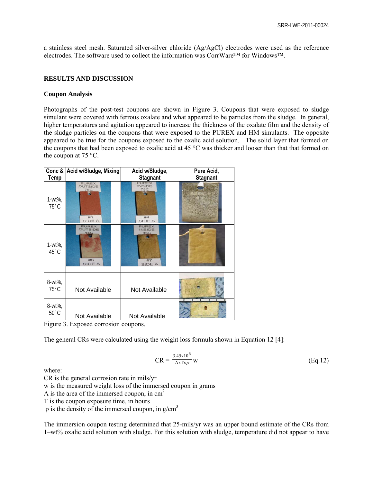a stainless steel mesh. Saturated silver-silver chloride (Ag/AgCl) electrodes were used as the reference electrodes. The software used to collect the information was CorrWare™ for Windows™.

## **RESULTS AND DISCUSSION**

#### **Coupon Analysis**

Photographs of the post-test coupons are shown in Figure 3. Coupons that were exposed to sludge simulant were covered with ferrous oxalate and what appeared to be particles from the sludge. In general, higher temperatures and agitation appeared to increase the thickness of the oxalate film and the density of the sludge particles on the coupons that were exposed to the PUREX and HM simulants. The opposite appeared to be true for the coupons exposed to the oxalic acid solution. The solid layer that formed on the coupons that had been exposed to oxalic acid at 45 °C was thicker and looser than that that formed on the coupon at 75 °C.

|                                                    | Conc & Acid w/Sludge, Mixing                                        | Acid w/Sludge,                                              | Pure Acid,      |  |
|----------------------------------------------------|---------------------------------------------------------------------|-------------------------------------------------------------|-----------------|--|
| <b>Temp</b>                                        |                                                                     | <b>Stagnant</b>                                             | <b>Stagnant</b> |  |
| $1-wt\%$ ,<br>$75^{\circ}$ C                       | <b>PUREX</b><br><b>OUTSIDE</b><br><b>75C</b><br>#1<br>SIDE A        | <b>PUREX</b><br><b>INSIDE</b><br><b>75C</b><br>#4<br>SIDE A |                 |  |
| $1-wt\%$ ,<br>45°C                                 | <b>PUREX</b><br><b>OUTSIDE</b><br><b>45C</b><br>#6<br><b>SIDE A</b> | PUREX<br>INSIDE<br>45C<br>#7<br>SIDE A                      |                 |  |
| 8-wt%,<br>$75^{\circ}$ C                           | Not Available                                                       | Not Available                                               |                 |  |
| 8-wt%,<br>$50^{\circ}$ C<br>$\mathbf{r}$<br>$\sim$ | Not Available<br>$\blacksquare$                                     | Not Available                                               |                 |  |



The general CRs were calculated using the weight loss formula shown in Equation 12 [4]:

$$
CR = \frac{3.45 \times 10^6}{A \times T \times \rho} \text{ w}
$$
 (Eq.12)

where:

CR is the general corrosion rate in mils/yr

w is the measured weight loss of the immersed coupon in grams

A is the area of the immersed coupon, in  $cm<sup>2</sup>$ 

T is the coupon exposure time, in hours

 $ρ$  is the density of the immersed coupon, in g/cm<sup>3</sup>

The immersion coupon testing determined that 25-mils/yr was an upper bound estimate of the CRs from 1–wt% oxalic acid solution with sludge. For this solution with sludge, temperature did not appear to have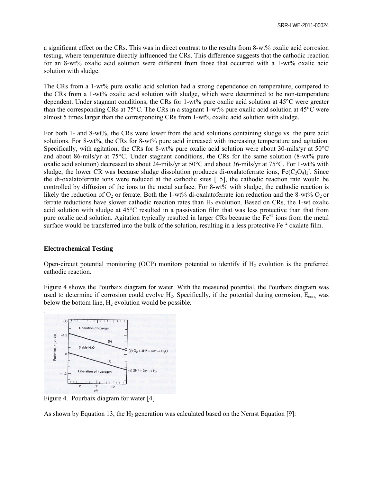a significant effect on the CRs. This was in direct contrast to the results from 8-wt% oxalic acid corrosion testing, where temperature directly influenced the CRs. This difference suggests that the cathodic reaction for an 8-wt% oxalic acid solution were different from those that occurred with a 1-wt% oxalic acid solution with sludge.

The CRs from a 1-wt% pure oxalic acid solution had a strong dependence on temperature, compared to the CRs from a 1-wt% oxalic acid solution with sludge, which were determined to be non-temperature dependent. Under stagnant conditions, the CRs for 1-wt% pure oxalic acid solution at 45°C were greater than the corresponding CRs at 75°C. The CRs in a stagnant 1-wt% pure oxalic acid solution at 45°C were almost 5 times larger than the corresponding CRs from 1-wt% oxalic acid solution with sludge.

For both 1- and 8-wt%, the CRs were lower from the acid solutions containing sludge vs. the pure acid solutions. For 8-wt%, the CRs for 8-wt% pure acid increased with increasing temperature and agitation. Specifically, with agitation, the CRs for 8-wt% pure oxalic acid solution were about 30-mils/yr at  $50^{\circ}$ C and about 86-mils/yr at 75°C. Under stagnant conditions, the CRs for the same solution (8-wt% pure oxalic acid solution) decreased to about 24-mils/yr at 50°C and about 36-mils/yr at 75°C. For 1-wt% with sludge, the lower CR was because sludge dissolution produces di-oxalatoferrate ions,  $Fe(C_2O_4)_2$ . Since the di-oxalatoferrate ions were reduced at the cathodic sites [15], the cathodic reaction rate would be controlled by diffusion of the ions to the metal surface. For 8-wt% with sludge, the cathodic reaction is likely the reduction of  $O_2$  or ferrate. Both the 1-wt% di-oxalatoferrate ion reduction and the 8-wt%  $O_2$  or ferrate reductions have slower cathodic reaction rates than  $H_2$  evolution. Based on CRs, the 1-wt oxalic acid solution with sludge at 45°C resulted in a passivation film that was less protective than that from pure oxalic acid solution. Agitation typically resulted in larger CRs because the  $Fe^{+2}$  ions from the metal surface would be transferred into the bulk of the solution, resulting in a less protective  $Fe^{+2}$  oxalate film.

#### **Electrochemical Testing**

Open-circuit potential monitoring (OCP) monitors potential to identify if  $H_2$  evolution is the preferred cathodic reaction.

Figure 4 shows the Pourbaix diagram for water. With the measured potential, the Pourbaix diagram was used to determine if corrosion could evolve  $H_2$ . Specifically, if the potential during corrosion,  $E_{corr}$ , was below the bottom line,  $H_2$  evolution would be possible.



Figure 4. Pourbaix diagram for water [4]

As shown by Equation 13, the  $H_2$  generation was calculated based on the Nernst Equation [9]: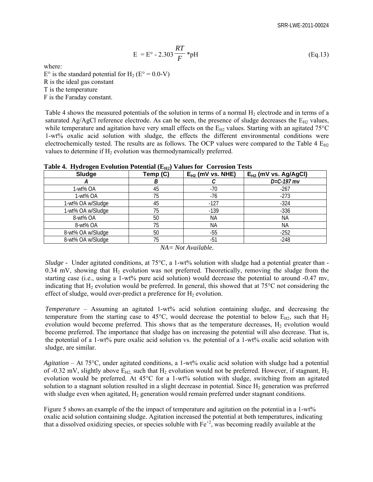$$
E = E^{\circ} - 2.303 \frac{RT}{F} * pH
$$
 (Eq.13)

where:

 $E^{\circ}$  is the standard potential for H<sub>2</sub> ( $E^{\circ} = 0.0$ -V) R is the ideal gas constant T is the temperature F is the Faraday constant.

Table 4 shows the measured potentials of the solution in terms of a normal  $H_2$  electrode and in terms of a saturated Ag/AgCl reference electrode. As can be seen, the presence of sludge decreases the  $E_{H2}$  values, while temperature and agitation have very small effects on the  $E_{H2}$  values. Starting with an agitated 75°C 1-wt% oxalic acid solution with sludge, the effects the different environmental conditions were electrochemically tested. The results are as follows. The OCP values were compared to the Table 4  $E_{H2}$ values to determine if  $H<sub>2</sub>$  evolution was thermodynamically preferred.

| Sludge            | Temp (C) | $E_{H2}$ (mV vs. NHE) | $E_{H2}$ (mV vs. Ag/AgCI) |
|-------------------|----------|-----------------------|---------------------------|
|                   |          |                       | $D=C-197$ mv              |
| 1-wt% OA          | 45       | $-70$                 | $-267$                    |
| 1-wt% OA          | 75       | $-76$                 | $-273$                    |
| 1-wt% OA w/Sludge | 45       | $-127$                | $-324$                    |
| 1-wt% OA w/Sludge | 75       | $-139$                | $-336$                    |
| 8-wt% OA          | 50       | ΝA                    | NA.                       |
| 8-wt% OA          | 75       | ΝA                    | NА                        |
| 8-wt% OA w/Sludge | 50       | -55                   | $-252$                    |
| 8-wt% OA w/Sludge | 75       | $-51$                 | $-248$                    |

**Table 4. Hydrogen Evolution Potential (E<sub>H2</sub>) Values for Corrosion Tests** 

*NA= Not Available.* 

*Sludge -* Under agitated conditions, at 75<sup>o</sup>C, a 1-wt% solution with sludge had a potential greater than -0.34 mV, showing that  $H_2$  evolution was not preferred. Theoretically, removing the sludge from the starting case (i.e., using a 1-wt% pure acid solution) would decrease the potential to around -0.47 mv, indicating that  $H_2$  evolution would be preferred. In general, this showed that at 75 $\degree$ C not considering the effect of sludge, would over-predict a preference for  $H_2$  evolution.

*Temperature* – Assuming an agitated 1-wt% acid solution containing sludge, and decreasing the temperature from the starting case to 45 $^{\circ}$ C, would decrease the potential to below E<sub>H2</sub>, such that H<sub>2</sub> evolution would become preferred. This shows that as the temperature decreases,  $H_2$  evolution would become preferred. The importance that sludge has on increasing the potential will also decrease. That is, the potential of a 1-wt% pure oxalic acid solution vs. the potential of a 1-wt% oxalic acid solution with sludge, are similar.

*Agitation* – At 75°C, under agitated conditions, a 1-wt% oxalic acid solution with sludge had a potential of -0.32 mV, slightly above  $E_{H2}$  such that  $H_2$  evolution would not be preferred. However, if stagnant,  $H_2$ evolution would be preferred. At 45°C for a 1-wt% solution with sludge, switching from an agitated solution to a stagnant solution resulted in a slight decrease in potential. Since  $H_2$  generation was preferred with sludge even when agitated,  $H_2$  generation would remain preferred under stagnant conditions.

Figure 5 shows an example of the the impact of temperature and agitation on the potential in a 1-wt% oxalic acid solution containing sludge. Agitation increased the potential at both temperatures, indicating that a dissolved oxidizing species, or species soluble with  $Fe^{+2}$ , was becoming readily available at the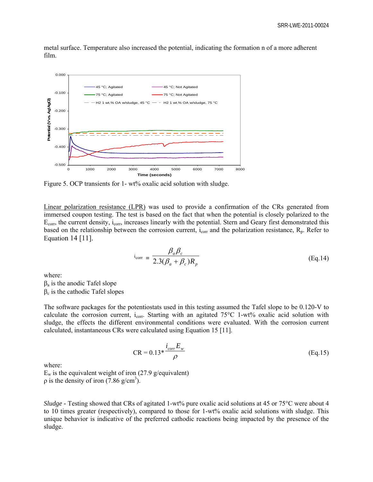metal surface. Temperature also increased the potential, indicating the formation n of a more adherent film.



Figure 5. OCP transients for 1- wt% oxalic acid solution with sludge.

Linear polarization resistance (LPR) was used to provide a confirmation of the CRs generated from immersed coupon testing. The test is based on the fact that when the potential is closely polarized to the  $E_{\text{corr}}$ , the current density,  $i_{\text{corr}}$ , increases linearly with the potential. Stern and Geary first demonstrated this based on the relationship between the corrosion current,  $i_{corr}$  and the polarization resistance,  $R_p$ . Refer to Equation 14 [11].

$$
i_{corr} = \frac{\beta_a \beta_c}{2.3(\beta_a + \beta_c)R_p}
$$
 (Eq.14)

where:

 $\beta_a$  is the anodic Tafel slope  $\beta_c$  is the cathodic Tafel slopes

The software packages for the potentiostats used in this testing assumed the Tafel slope to be 0.120-V to calculate the corrosion current,  $i_{corr}$ . Starting with an agitated 75 $\degree$ C 1-wt% oxalic acid solution with sludge, the effects the different environmental conditions were evaluated. With the corrosion current calculated, instantaneous CRs were calculated using Equation 15 [11].

$$
CR = 0.13 \times \frac{i_{corr} E_w}{\rho}
$$
 (Eq.15)

where:

 $E_w$  is the equivalent weight of iron (27.9 g/equivalent)  $\rho$  is the density of iron (7.86 g/cm<sup>3</sup>).

*Sludge -* Testing showed that CRs of agitated 1-wt% pure oxalic acid solutions at 45 or 75<sup>o</sup>C were about 4 to 10 times greater (respectively), compared to those for 1-wt% oxalic acid solutions with sludge. This unique behavior is indicative of the preferred cathodic reactions being impacted by the presence of the sludge.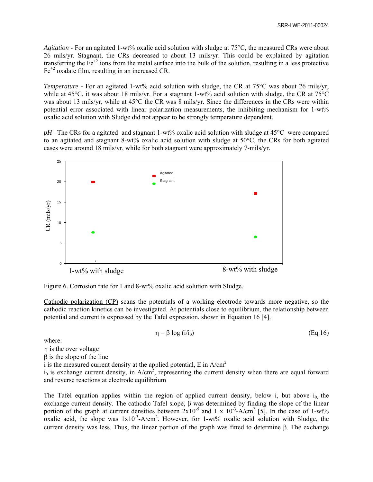*Agitation* - For an agitated 1-wt% oxalic acid solution with sludge at 75°C, the measured CRs were about 26 mils/yr. Stagnant, the CRs decreased to about 13 mils/yr. This could be explained by agitation transferring the  $Fe^{+2}$  ions from the metal surface into the bulk of the solution, resulting in a less protective  $Fe<sup>+2</sup>$  oxalate film, resulting in an increased CR.

*Temperature -* For an agitated 1-wt% acid solution with sludge, the CR at 75°C was about 26 mils/yr, while at 45°C, it was about 18 mils/yr. For a stagnant 1-wt% acid solution with sludge, the CR at 75°C was about 13 mils/yr, while at 45<sup>o</sup>C the CR was 8 mils/yr. Since the differences in the CRs were within potential error associated with linear polarization measurements, the inhibiting mechanism for 1-wt% oxalic acid solution with Sludge did not appear to be strongly temperature dependent.

*pH –*The CRs for a agitated and stagnant 1-wt% oxalic acid solution with sludge at 45°C were compared to an agitated and stagnant 8-wt% oxalic acid solution with sludge at 50°C, the CRs for both agitated cases were around 18 mils/yr, while for both stagnant were approximately 7-mils/yr.



Figure 6. Corrosion rate for 1 and 8-wt% oxalic acid solution with Sludge.

Cathodic polarization (CP) scans the potentials of a working electrode towards more negative, so the cathodic reaction kinetics can be investigated. At potentials close to equilibrium, the relationship between potential and current is expressed by the Tafel expression, shown in Equation 16 [4].

$$
\eta = \beta \log \left( i / i_0 \right) \tag{Eq.16}
$$

where:

is the over voltage

 $\beta$  is the slope of the line

i is the measured current density at the applied potential, E in  $A/cm^2$ 

 $i_0$  is exchange current density, in A/cm<sup>2</sup>, representing the current density when there are equal forward and reverse reactions at electrode equilibrium

The Tafel equation applies within the region of applied current density, below i, but above  $i_0$  the exchange current density. The cathodic Tafel slope,  $\beta$  was determined by finding the slope of the linear portion of the graph at current densities between  $2x10^{-5}$  and 1 x  $10^{-3}$ -A/cm<sup>2</sup> [5]. In the case of 1-wt% oxalic acid, the slope was  $1x10^{-3}$ -A/cm<sup>2</sup>. However, for 1-wt% oxalic acid solution with Sludge, the current density was less. Thus, the linear portion of the graph was fitted to determine  $\beta$ . The exchange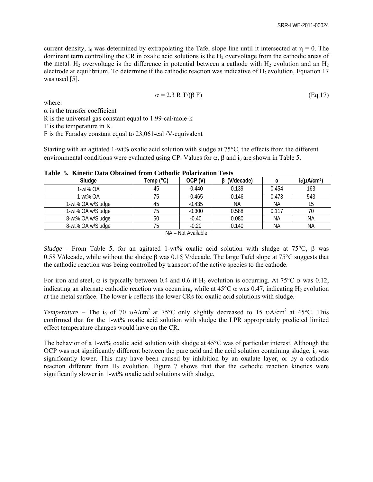current density, i<sub>0</sub> was determined by extrapolating the Tafel slope line until it intersected at  $\eta = 0$ . The dominant term controlling the CR in oxalic acid solutions is the  $H<sub>2</sub>$  overvoltage from the cathodic areas of the metal.  $H_2$  overvoltage is the difference in potential between a cathode with  $H_2$  evolution and an  $H_2$ electrode at equilibrium. To determine if the cathodic reaction was indicative of  $H_2$  evolution, Equation 17 was used [5].

$$
\alpha = 2.3 \text{ R T/(\beta F)} \tag{Eq.17}
$$

where:

 $\alpha$  is the transfer coefficient

R is the universal gas constant equal to 1.99-cal/mole-k

T is the temperature in K

F is the Faraday constant equal to 23,061-cal /V-equivalent

Starting with an agitated 1-wt% oxalic acid solution with sludge at 75°C, the effects from the different environmental conditions were evaluated using CP. Values for  $\alpha$ ,  $\beta$  and  $i_0$  are shown in Table 5.

| Sludge            | Temp (°C) | OCP (V)            | (V/decade) |           | $i_0(\mu A/cm^2)$ |
|-------------------|-----------|--------------------|------------|-----------|-------------------|
| 1-wt% OA          | 45        | $-0.440$           | 0.139      | 0.454     | 163               |
| 1-wt% OA          | 75        | $-0.465$           | 0.146      | 0.473     | 543               |
| 1-wt% OA w/Sludge | 45        | $-0.435$           | <b>NA</b>  | ΝA        | 15                |
| 1-wt% OA w/Sludge | 75        | $-0.300$           | 0.588      | 0.117     | 70                |
| 8-wt% OA w/Sludge | 50        | $-0.40$            | 0.080      | ΝA        | ΝA                |
| 8-wt% OA w/Sludge | 75        | $-0.20$            | 0.140      | <b>NA</b> | ΝA                |
|                   |           | NA – Not Available |            |           |                   |

**Table 5. Kinetic Data Obtained from Cathodic Polarization Tests** 

*Sludge -* From Table 5, for an agitated 1-wt% oxalic acid solution with sludge at 75 $^{\circ}$ C,  $\beta$  was 0.58 V/decade, while without the sludge  $\beta$  was 0.15 V/decade. The large Tafel slope at 75 $\degree$ C suggests that the cathodic reaction was being controlled by transport of the active species to the cathode.

For iron and steel,  $\alpha$  is typically between 0.4 and 0.6 if H<sub>2</sub> evolution is occurring. At 75°C  $\alpha$  was 0.12, indicating an alternate cathodic reaction was occurring, while at  $45^{\circ}$ C  $\alpha$  was 0.47, indicating H<sub>2</sub> evolution at the metal surface. The lower  $i_0$  reflects the lower CRs for oxalic acid solutions with sludge.

*Temperature* – The i<sub>0</sub> of 70  $\upsilon$ A/cm<sup>2</sup> at 75°C only slightly decreased to 15  $\upsilon$ A/cm<sup>2</sup> at 45°C. This confirmed that for the 1-wt% oxalic acid solution with sludge the LPR appropriately predicted limited effect temperature changes would have on the CR.

The behavior of a 1-wt% oxalic acid solution with sludge at 45°C was of particular interest. Although the OCP was not significantly different between the pure acid and the acid solution containing sludge,  $i_0$  was significantly lower. This may have been caused by inhibition by an oxalate layer, or by a cathodic reaction different from  $H_2$  evolution. Figure 7 shows that that the cathodic reaction kinetics were significantly slower in 1-wt% oxalic acid solutions with sludge.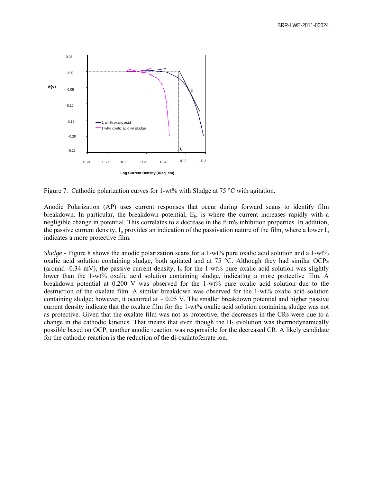

Figure 7. Cathodic polarization curves for 1-wt% with Sludge at 75 °C with agitation.

Anodic Polarization (AP) uses current responses that occur during forward scans to identify film breakdown. In particular, the breakdown potential,  $E<sub>b</sub>$ , is where the current increases rapidly with a negligible change in potential. This correlates to a decrease in the film's inhibition properties. In addition, the passive current density,  $I_p$  provides an indication of the passivation nature of the film, where a lower  $I_p$ indicates a more protective film.

*Sludge* - Figure 8 shows the anodic polarization scans for a 1-wt% pure oxalic acid solution and a 1-wt% oxalic acid solution containing sludge, both agitated and at 75 °C. Although they had similar OCPs (around -0.34 mV), the passive current density,  $I_p$  for the 1-wt% pure oxalic acid solution was slightly lower than the 1-wt% oxalic acid solution containing sludge, indicating a more protective film. A breakdown potential at 0.200 V was observed for the 1-wt% pure oxalic acid solution due to the destruction of the oxalate film. A similar breakdown was observed for the 1-wt% oxalic acid solution containing sludge; however, it occurred at  $\sim 0.05$  V. The smaller breakdown potential and higher passive current density indicate that the oxalate film for the 1-wt% oxalic acid solution containing sludge was not as protective. Given that the oxalate film was not as protective, the decreases in the CRs were due to a change in the cathodic kinetics. That means that even though the  $H<sub>2</sub>$  evolution was thermodynamically possible based on OCP, another anodic reaction was responsible for the decreased CR. A likely candidate for the cathodic reaction is the reduction of the di-oxalatoferrate ion.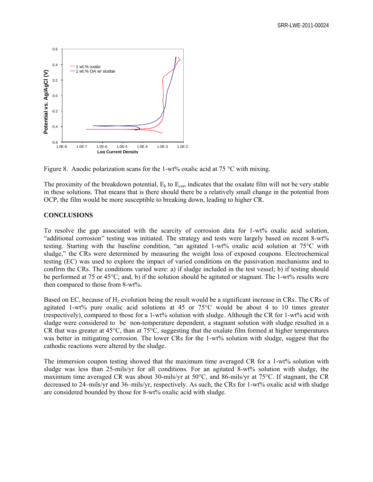

Figure 8. Anodic polarization scans for the 1-wt% oxalic acid at 75  $^{\circ}$ C with mixing.

The proximity of the breakdown potential,  $E_b$  to  $E_{corr}$  indicates that the oxalate film will not be very stable in these solutions. That means that is there should there be a relatively small change in the potential from OCP, the film would be more susceptible to breaking down, leading to higher CR.

# **CONCLUSIONS**

To resolve the gap associated with the scarcity of corrosion data for 1-wt% oxalic acid solution, "additional corrosion" testing was initiated. The strategy and tests were largely based on recent 8-wt% testing. Starting with the baseline condition, "an agitated 1-wt% oxalic acid solution at 75°C with sludge," the CRs were determined by measuring the weight loss of exposed coupons. Electrochemical testing (EC) was used to explore the impact of varied conditions on the passivation mechanisms and to confirm the CRs. The conditions varied were: a) if sludge included in the test vessel; b) if testing should be performed at 75 or 45°C; and, b) if the solution should be agitated or stagnant. The 1-wt% results were then compared to those from 8-wt%.

Based on EC, because of  $H_2$  evolution being the result would be a significant increase in CRs. The CRs of agitated 1-wt% pure oxalic acid solutions at 45 or  $75^{\circ}$ C would be about 4 to 10 times greater (respectively), compared to those for a 1-wt% solution with sludge. Although the CR for 1-wt% acid with sludge were considered to be non-temperature dependent, a stagnant solution with sludge resulted in a CR that was greater at 45°C, than at 75°C, suggesting that the oxalate film formed at higher temperatures was better in mitigating corrosion. The lower CRs for the 1-wt% solution with sludge, suggest that the cathodic reactions were altered by the sludge.

The immersion coupon testing showed that the maximum time averaged CR for a 1-wt% solution with sludge was less than 25-mils/yr for all conditions. For an agitated 8-wt% solution with sludge, the maximum time averaged CR was about 30-mils/yr at 50°C, and 86-mils/yr at 75°C. If stagnant, the CR decreased to 24–mils/yr and 36–mils/yr, respectively. As such, the CRs for 1-wt% oxalic acid with sludge are considered bounded by those for 8-wt% oxalic acid with sludge.